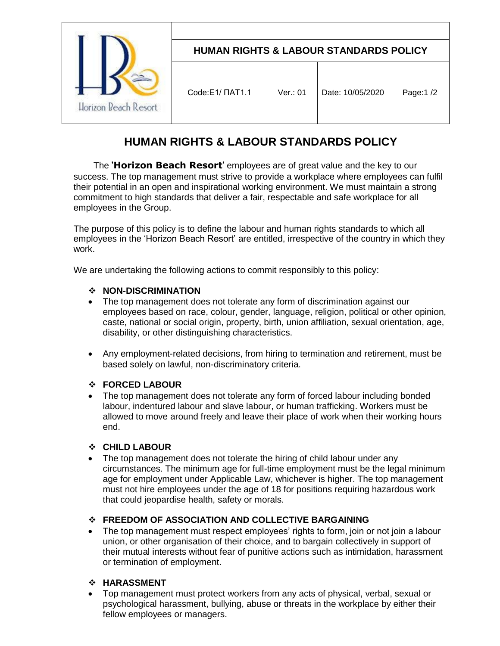| Llorizon Reach Resort | <b>HUMAN RIGHTS &amp; LABOUR STANDARDS POLICY</b> |          |                  |            |  |
|-----------------------|---------------------------------------------------|----------|------------------|------------|--|
|                       | Code:E1/ NAT1.1                                   | Ver.: 01 | Date: 10/05/2020 | Page: 1 /2 |  |

# **HUMAN RIGHTS & LABOUR STANDARDS POLICY**

 The **'Horizon Beach Resort'** employees are of great value and the key to our success. The top management must strive to provide a workplace where employees can fulfil their potential in an open and inspirational working environment. We must maintain a strong commitment to high standards that deliver a fair, respectable and safe workplace for all employees in the Group.

The purpose of this policy is to define the labour and human rights standards to which all employees in the 'Horizon Beach Resort' are entitled, irrespective of the country in which they work.

We are undertaking the following actions to commit responsibly to this policy:

### **NON-DISCRIMINATION**

- The top management does not tolerate any form of discrimination against our employees based on race, colour, gender, language, religion, political or other opinion, caste, national or social origin, property, birth, union affiliation, sexual orientation, age, disability, or other distinguishing characteristics.
- Any employment-related decisions, from hiring to termination and retirement, must be based solely on lawful, non-discriminatory criteria.

### **FORCED LABOUR**

 The top management does not tolerate any form of forced labour including bonded labour, indentured labour and slave labour, or human trafficking. Workers must be allowed to move around freely and leave their place of work when their working hours end.

### **CHILD LABOUR**

• The top management does not tolerate the hiring of child labour under any circumstances. The minimum age for full-time employment must be the legal minimum age for employment under Applicable Law, whichever is higher. The top management must not hire employees under the age of 18 for positions requiring hazardous work that could jeopardise health, safety or morals.

### **FREEDOM OF ASSOCIATION AND COLLECTIVE BARGAINING**

 The top management must respect employees' rights to form, join or not join a labour union, or other organisation of their choice, and to bargain collectively in support of their mutual interests without fear of punitive actions such as intimidation, harassment or termination of employment.

### **HARASSMENT**

 Top management must protect workers from any acts of physical, verbal, sexual or psychological harassment, bullying, abuse or threats in the workplace by either their fellow employees or managers.